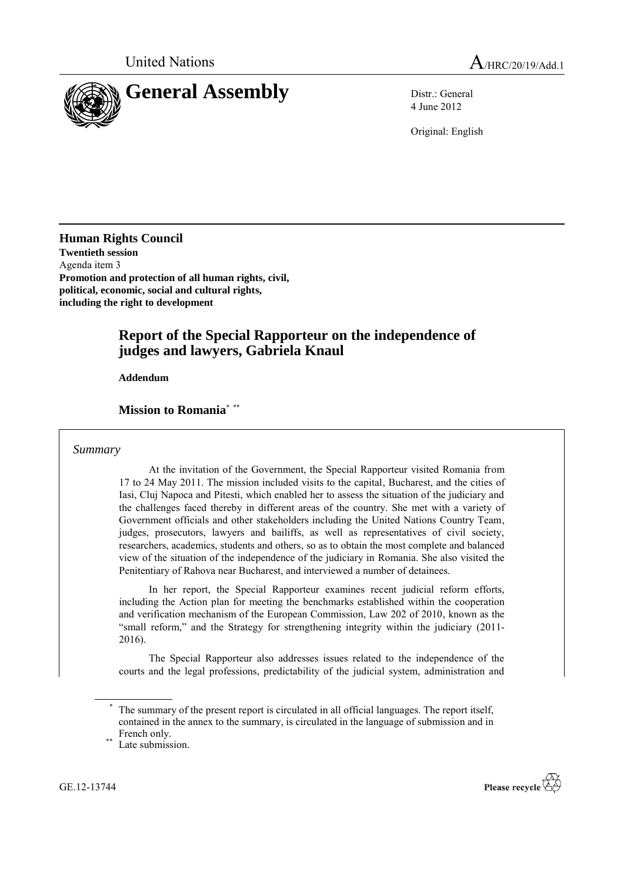

4 June 2012

Original: English

**Human Rights Council Twentieth session** Agenda item 3 **Promotion and protection of all human rights, civil, political, economic, social and cultural rights, including the right to development**

# **Report of the Special Rapporteur on the independence of judges and lawyers, Gabriela Knaul**

**Addendum**

#### **Mission to Romania**\* \*\*

#### *Summary*

At the invitation of the Government, the Special Rapporteur visited Romania from 17 to 24 May 2011. The mission included visits to the capital, Bucharest, and the cities of Iasi, Cluj Napoca and Pitesti, which enabled her to assess the situation of the judiciary and the challenges faced thereby in different areas of the country. She met with a variety of Government officials and other stakeholders including the United Nations Country Team, judges, prosecutors, lawyers and bailiffs, as well as representatives of civil society, researchers, academics, students and others, so as to obtain the most complete and balanced view of the situation of the independence of the judiciary in Romania. She also visited the Penitentiary of Rahova near Bucharest, and interviewed a number of detainees.

In her report, the Special Rapporteur examines recent judicial reform efforts, including the Action plan for meeting the benchmarks established within the cooperation and verification mechanism of the European Commission, Law 202 of 2010, known as the "small reform," and the Strategy for strengthening integrity within the judiciary (2011- 2016).

The Special Rapporteur also addresses issues related to the independence of the courts and the legal professions, predictability of the judicial system, administration and



The summary of the present report is circulated in all official languages. The report itself, contained in the annex to the summary, is circulated in the language of submission and in French only.

Late submission.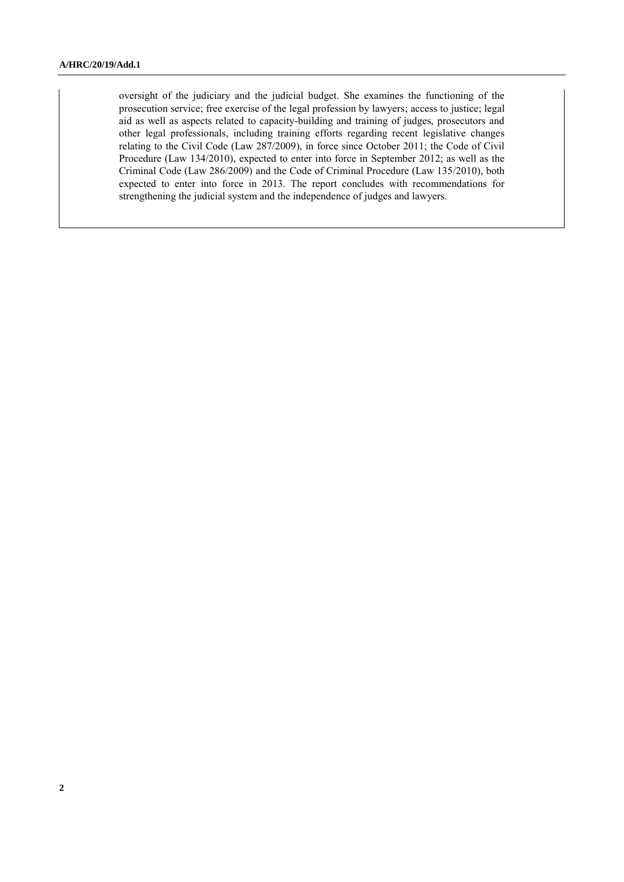oversight of the judiciary and the judicial budget. She examines the functioning of the prosecution service; free exercise of the legal profession by lawyers; access to justice; legal aid as well as aspects related to capacity-building and training of judges, prosecutors and other legal professionals, including training efforts regarding recent legislative changes relating to the Civil Code (Law 287/2009), in force since October 2011; the Code of Civil Procedure (Law 134/2010), expected to enter into force in September 2012; as well as the Criminal Code (Law 286/2009) and the Code of Criminal Procedure (Law 135/2010), both expected to enter into force in 2013. The report concludes with recommendations for strengthening the judicial system and the independence of judges and lawyers.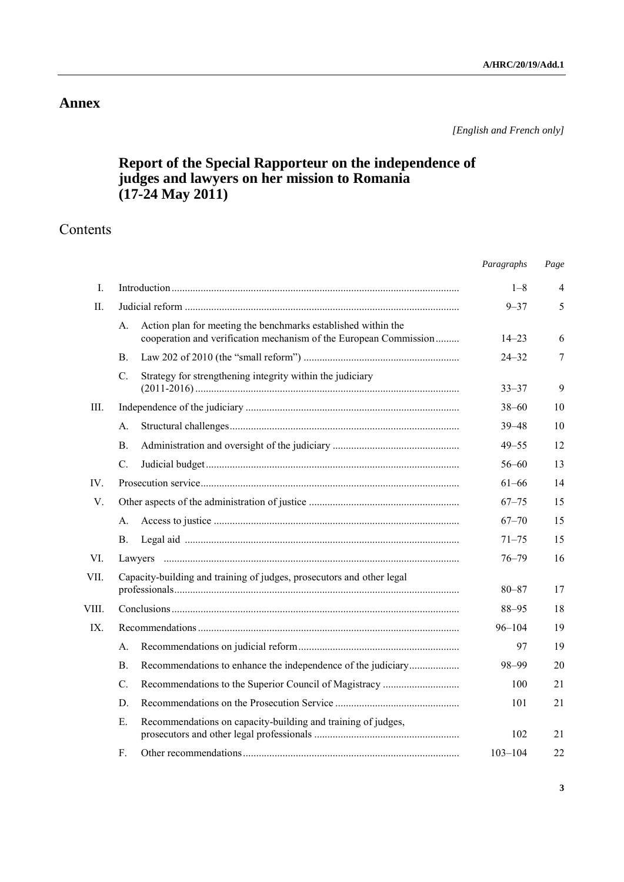# **Annex**

*[English and French only]*

# **Report of the Special Rapporteur on the independence of judges and lawyers on her mission to Romania (17-24 May 2011)**

# Contents

|          |                                                                                                                                          | Paragraphs  | Page |
|----------|------------------------------------------------------------------------------------------------------------------------------------------|-------------|------|
| I.       |                                                                                                                                          | $1 - 8$     | 4    |
| П.       |                                                                                                                                          | $9 - 37$    | 5    |
|          | Action plan for meeting the benchmarks established within the<br>А.<br>cooperation and verification mechanism of the European Commission | $14 - 23$   | 6    |
|          | <b>B.</b>                                                                                                                                | $24 - 32$   | 7    |
|          | Strategy for strengthening integrity within the judiciary<br>$C_{\cdot}$                                                                 | $33 - 37$   | 9    |
| Ш.       |                                                                                                                                          | $38 - 60$   | 10   |
|          | А.                                                                                                                                       | $39 - 48$   | 10   |
|          | $\mathbf{B}$ .                                                                                                                           | $49 - 55$   | 12   |
|          | $C$ .                                                                                                                                    | $56 - 60$   | 13   |
| IV.      |                                                                                                                                          | $61 - 66$   | 14   |
| V.       |                                                                                                                                          | $67 - 75$   | 15   |
|          | А.                                                                                                                                       | $67 - 70$   | 15   |
|          | Β.                                                                                                                                       | $71 - 75$   | 15   |
| VI.      |                                                                                                                                          | $76 - 79$   | 16   |
| VII.     | Capacity-building and training of judges, prosecutors and other legal                                                                    | $80 - 87$   | 17   |
| VIII.    |                                                                                                                                          | $88 - 95$   | 18   |
| $IX_{-}$ |                                                                                                                                          | $96 - 104$  | 19   |
|          | A.                                                                                                                                       | 97          | 19   |
|          | Recommendations to enhance the independence of the judiciary<br><b>B.</b>                                                                | 98-99       | 20   |
|          | C.                                                                                                                                       | 100         | 21   |
|          | D.                                                                                                                                       | 101         | 21   |
|          | Recommendations on capacity-building and training of judges,<br>Е.                                                                       | 102         | 21   |
|          | F.                                                                                                                                       | $103 - 104$ | 22   |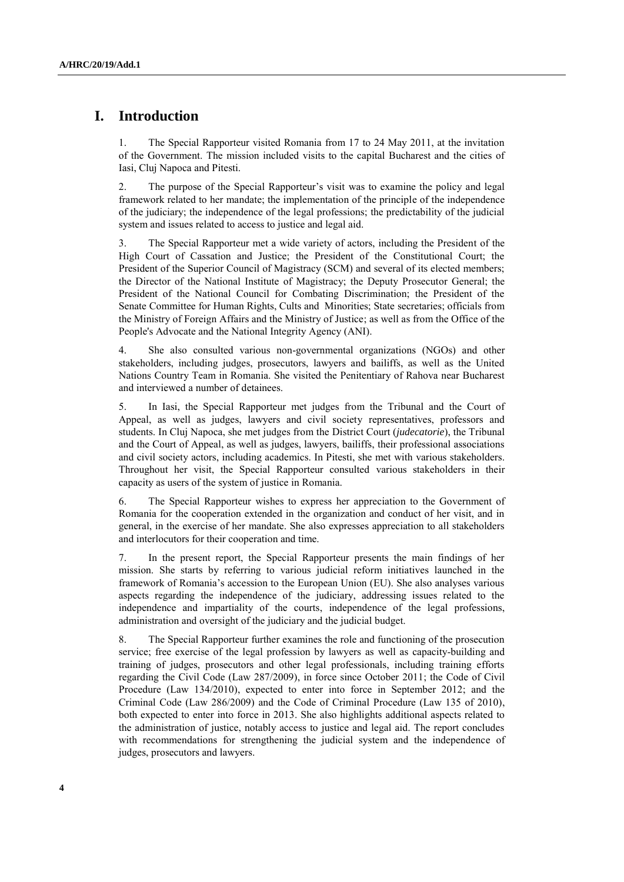### **I. Introduction**

1. The Special Rapporteur visited Romania from 17 to 24 May 2011, at the invitation of the Government. The mission included visits to the capital Bucharest and the cities of Iasi, Cluj Napoca and Pitesti.

2. The purpose of the Special Rapporteur's visit was to examine the policy and legal framework related to her mandate; the implementation of the principle of the independence of the judiciary; the independence of the legal professions; the predictability of the judicial system and issues related to access to justice and legal aid.

3. The Special Rapporteur met a wide variety of actors, including the President of the High Court of Cassation and Justice; the President of the Constitutional Court; the President of the Superior Council of Magistracy (SCM) and several of its elected members; the Director of the National Institute of Magistracy; the Deputy Prosecutor General; the President of the National Council for Combating Discrimination; the President of the Senate Committee for Human Rights, Cults and Minorities; State secretaries; officials from the Ministry of Foreign Affairs and the Ministry of Justice; as well as from the Office of the People's Advocate and the National Integrity Agency (ANI).

4. She also consulted various non-governmental organizations (NGOs) and other stakeholders, including judges, prosecutors, lawyers and bailiffs, as well as the United Nations Country Team in Romania. She visited the Penitentiary of Rahova near Bucharest and interviewed a number of detainees.

5. In Iasi, the Special Rapporteur met judges from the Tribunal and the Court of Appeal, as well as judges, lawyers and civil society representatives, professors and students. In Cluj Napoca, she met judges from the District Court (*judecatorie*), the Tribunal and the Court of Appeal, as well as judges, lawyers, bailiffs, their professional associations and civil society actors, including academics. In Pitesti, she met with various stakeholders. Throughout her visit, the Special Rapporteur consulted various stakeholders in their capacity as users of the system of justice in Romania.

6. The Special Rapporteur wishes to express her appreciation to the Government of Romania for the cooperation extended in the organization and conduct of her visit, and in general, in the exercise of her mandate. She also expresses appreciation to all stakeholders and interlocutors for their cooperation and time.

7. In the present report, the Special Rapporteur presents the main findings of her mission. She starts by referring to various judicial reform initiatives launched in the framework of Romania's accession to the European Union (EU). She also analyses various aspects regarding the independence of the judiciary, addressing issues related to the independence and impartiality of the courts, independence of the legal professions, administration and oversight of the judiciary and the judicial budget.

8. The Special Rapporteur further examines the role and functioning of the prosecution service; free exercise of the legal profession by lawyers as well as capacity-building and training of judges, prosecutors and other legal professionals, including training efforts regarding the Civil Code (Law 287/2009), in force since October 2011; the Code of Civil Procedure (Law 134/2010), expected to enter into force in September 2012; and the Criminal Code (Law 286/2009) and the Code of Criminal Procedure (Law 135 of 2010), both expected to enter into force in 2013. She also highlights additional aspects related to the administration of justice, notably access to justice and legal aid. The report concludes with recommendations for strengthening the judicial system and the independence of judges, prosecutors and lawyers.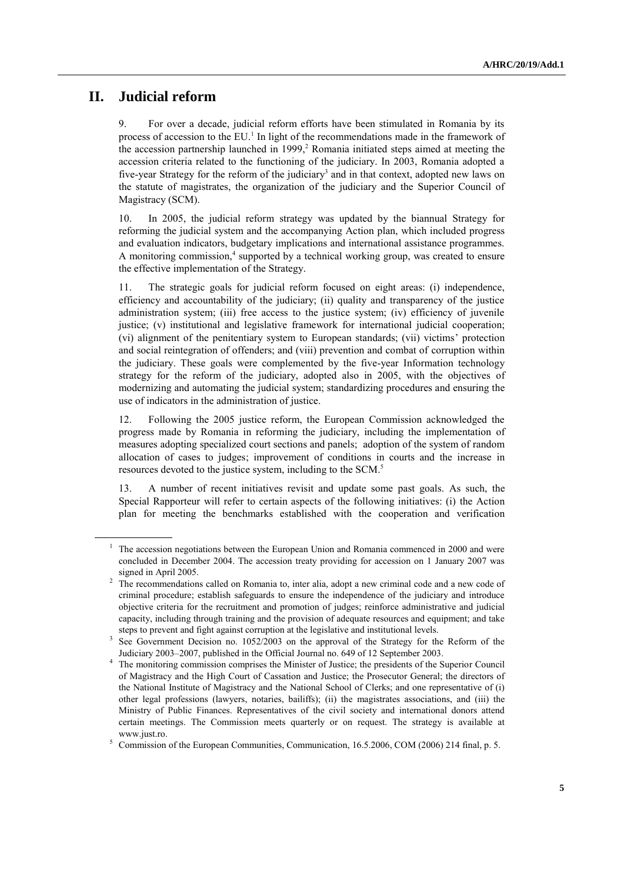### **II. Judicial reform**

9. For over a decade, judicial reform efforts have been stimulated in Romania by its process of accession to the  $EU<sup>1</sup>$  In light of the recommendations made in the framework of the accession partnership launched in 1999,<sup>2</sup> Romania initiated steps aimed at meeting the accession criteria related to the functioning of the judiciary. In 2003, Romania adopted a five-year Strategy for the reform of the judiciary<sup>3</sup> and in that context, adopted new laws on the statute of magistrates, the organization of the judiciary and the Superior Council of Magistracy (SCM).

10. In 2005, the judicial reform strategy was updated by the biannual Strategy for reforming the judicial system and the accompanying Action plan, which included progress and evaluation indicators, budgetary implications and international assistance programmes. A monitoring commission,<sup>4</sup> supported by a technical working group, was created to ensure the effective implementation of the Strategy.

11. The strategic goals for judicial reform focused on eight areas: (i) independence, efficiency and accountability of the judiciary; (ii) quality and transparency of the justice administration system; (iii) free access to the justice system; (iv) efficiency of juvenile justice; (v) institutional and legislative framework for international judicial cooperation; (vi) alignment of the penitentiary system to European standards; (vii) victims' protection and social reintegration of offenders; and (viii) prevention and combat of corruption within the judiciary. These goals were complemented by the five-year Information technology strategy for the reform of the judiciary, adopted also in 2005, with the objectives of modernizing and automating the judicial system; standardizing procedures and ensuring the use of indicators in the administration of justice.

12. Following the 2005 justice reform, the European Commission acknowledged the progress made by Romania in reforming the judiciary, including the implementation of measures adopting specialized court sections and panels; adoption of the system of random allocation of cases to judges; improvement of conditions in courts and the increase in resources devoted to the justice system, including to the SCM. 5

13. A number of recent initiatives revisit and update some past goals. As such, the Special Rapporteur will refer to certain aspects of the following initiatives: (i) the Action plan for meeting the benchmarks established with the cooperation and verification

<sup>1</sup> The accession negotiations between the European Union and Romania commenced in 2000 and were concluded in December 2004. The accession treaty providing for accession on 1 January 2007 was signed in April 2005.

<sup>2</sup> The recommendations called on Romania to, inter alia, adopt a new criminal code and a new code of criminal procedure; establish safeguards to ensure the independence of the judiciary and introduce objective criteria for the recruitment and promotion of judges; reinforce administrative and judicial capacity, including through training and the provision of adequate resources and equipment; and take steps to prevent and fight against corruption at the legislative and institutional levels.

<sup>3</sup> See Government Decision no. 1052/2003 on the approval of the Strategy for the Reform of the Judiciary 2003–2007, published in the Official Journal no. 649 of 12 September 2003.

<sup>&</sup>lt;sup>4</sup> The monitoring commission comprises the Minister of Justice; the presidents of the Superior Council of Magistracy and the High Court of Cassation and Justice; the Prosecutor General; the directors of the National Institute of Magistracy and the National School of Clerks; and one representative of (i) other legal professions (lawyers, notaries, bailiffs); (ii) the magistrates associations, and (iii) the Ministry of Public Finances. Representatives of the civil society and international donors attend certain meetings. The Commission meets quarterly or on request. The strategy is available at www.just.ro.

<sup>&</sup>lt;sup>5</sup> Commission of the European Communities, Communication, 16.5.2006, COM (2006) 214 final, p. 5.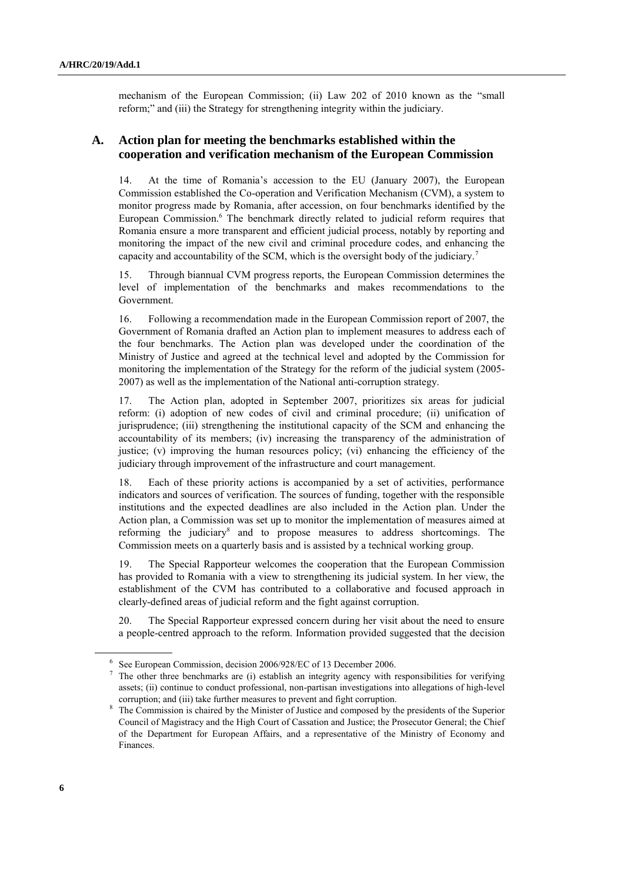mechanism of the European Commission; (ii) Law 202 of 2010 known as the "small reform;" and (iii) the Strategy for strengthening integrity within the judiciary.

### **A. Action plan for meeting the benchmarks established within the cooperation and verification mechanism of the European Commission**

14. At the time of Romania's accession to the EU (January 2007), the European Commission established the Co-operation and Verification Mechanism (CVM), a system to monitor progress made by Romania, after accession, on four benchmarks identified by the European Commission.<sup>6</sup> The benchmark directly related to judicial reform requires that Romania ensure a more transparent and efficient judicial process, notably by reporting and monitoring the impact of the new civil and criminal procedure codes, and enhancing the capacity and accountability of the SCM, which is the oversight body of the judiciary.<sup>7</sup>

15. Through biannual CVM progress reports, the European Commission determines the level of implementation of the benchmarks and makes recommendations to the Government.

16. Following a recommendation made in the European Commission report of 2007, the Government of Romania drafted an Action plan to implement measures to address each of the four benchmarks. The Action plan was developed under the coordination of the Ministry of Justice and agreed at the technical level and adopted by the Commission for monitoring the implementation of the Strategy for the reform of the judicial system (2005- 2007) as well as the implementation of the National anti-corruption strategy.

17. The Action plan, adopted in September 2007, prioritizes six areas for judicial reform: (i) adoption of new codes of civil and criminal procedure; (ii) unification of jurisprudence; (iii) strengthening the institutional capacity of the SCM and enhancing the accountability of its members; (iv) increasing the transparency of the administration of justice; (v) improving the human resources policy; (vi) enhancing the efficiency of the judiciary through improvement of the infrastructure and court management.

18. Each of these priority actions is accompanied by a set of activities, performance indicators and sources of verification. The sources of funding, together with the responsible institutions and the expected deadlines are also included in the Action plan. Under the Action plan, a Commission was set up to monitor the implementation of measures aimed at reforming the judiciary<sup>8</sup> and to propose measures to address shortcomings. The Commission meets on a quarterly basis and is assisted by a technical working group.

19. The Special Rapporteur welcomes the cooperation that the European Commission has provided to Romania with a view to strengthening its judicial system. In her view, the establishment of the CVM has contributed to a collaborative and focused approach in clearly-defined areas of judicial reform and the fight against corruption.

20. The Special Rapporteur expressed concern during her visit about the need to ensure a people-centred approach to the reform. Information provided suggested that the decision

<sup>6</sup> See European Commission, decision 2006/928/EC of 13 December 2006.

 $7$  The other three benchmarks are (i) establish an integrity agency with responsibilities for verifying assets; (ii) continue to conduct professional, non-partisan investigations into allegations of high-level corruption; and (iii) take further measures to prevent and fight corruption.

<sup>&</sup>lt;sup>8</sup> The Commission is chaired by the Minister of Justice and composed by the presidents of the Superior Council of Magistracy and the High Court of Cassation and Justice; the Prosecutor General; the Chief of the Department for European Affairs, and a representative of the Ministry of Economy and Finances.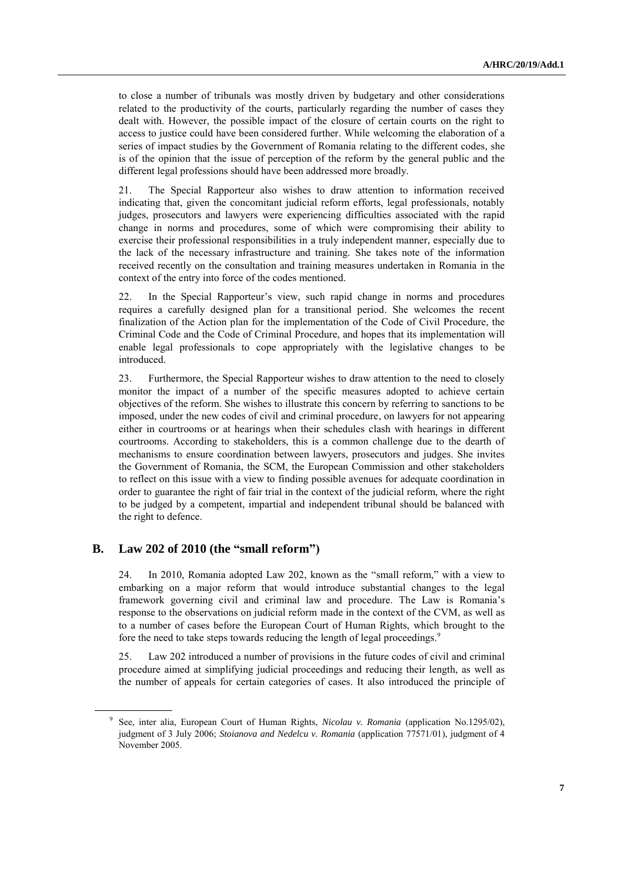to close a number of tribunals was mostly driven by budgetary and other considerations related to the productivity of the courts, particularly regarding the number of cases they dealt with. However, the possible impact of the closure of certain courts on the right to access to justice could have been considered further. While welcoming the elaboration of a series of impact studies by the Government of Romania relating to the different codes, she is of the opinion that the issue of perception of the reform by the general public and the different legal professions should have been addressed more broadly.

21. The Special Rapporteur also wishes to draw attention to information received indicating that, given the concomitant judicial reform efforts, legal professionals, notably judges, prosecutors and lawyers were experiencing difficulties associated with the rapid change in norms and procedures, some of which were compromising their ability to exercise their professional responsibilities in a truly independent manner, especially due to the lack of the necessary infrastructure and training. She takes note of the information received recently on the consultation and training measures undertaken in Romania in the context of the entry into force of the codes mentioned.

22. In the Special Rapporteur's view, such rapid change in norms and procedures requires a carefully designed plan for a transitional period. She welcomes the recent finalization of the Action plan for the implementation of the Code of Civil Procedure, the Criminal Code and the Code of Criminal Procedure, and hopes that its implementation will enable legal professionals to cope appropriately with the legislative changes to be introduced.

23. Furthermore, the Special Rapporteur wishes to draw attention to the need to closely monitor the impact of a number of the specific measures adopted to achieve certain objectives of the reform. She wishes to illustrate this concern by referring to sanctions to be imposed, under the new codes of civil and criminal procedure, on lawyers for not appearing either in courtrooms or at hearings when their schedules clash with hearings in different courtrooms. According to stakeholders, this is a common challenge due to the dearth of mechanisms to ensure coordination between lawyers, prosecutors and judges. She invites the Government of Romania, the SCM, the European Commission and other stakeholders to reflect on this issue with a view to finding possible avenues for adequate coordination in order to guarantee the right of fair trial in the context of the judicial reform, where the right to be judged by a competent, impartial and independent tribunal should be balanced with the right to defence.

#### **B. Law 202 of 2010 (the "small reform")**

24. In 2010, Romania adopted Law 202, known as the "small reform," with a view to embarking on a major reform that would introduce substantial changes to the legal framework governing civil and criminal law and procedure. The Law is Romania's response to the observations on judicial reform made in the context of the CVM, as well as to a number of cases before the European Court of Human Rights, which brought to the fore the need to take steps towards reducing the length of legal proceedings.<sup>9</sup>

25. Law 202 introduced a number of provisions in the future codes of civil and criminal procedure aimed at simplifying judicial proceedings and reducing their length, as well as the number of appeals for certain categories of cases. It also introduced the principle of

<sup>9</sup> See, inter alia, European Court of Human Rights, *Nicolau v. Romania* (application No.1295/02), judgment of 3 July 2006; *Stoianova and Nedelcu v. Romania* (application 77571/01), judgment of 4 November 2005.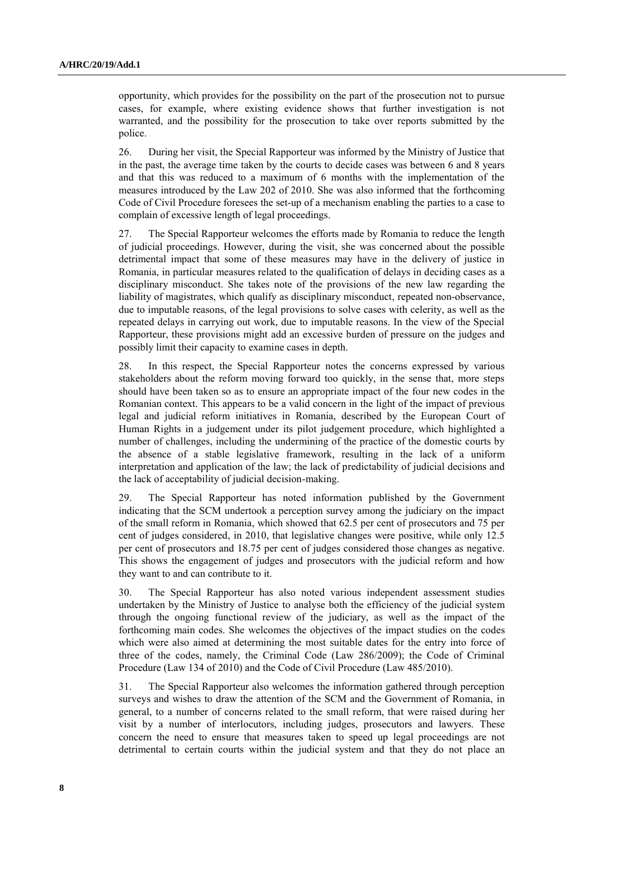opportunity, which provides for the possibility on the part of the prosecution not to pursue cases, for example, where existing evidence shows that further investigation is not warranted, and the possibility for the prosecution to take over reports submitted by the police.

26. During her visit, the Special Rapporteur was informed by the Ministry of Justice that in the past, the average time taken by the courts to decide cases was between 6 and 8 years and that this was reduced to a maximum of 6 months with the implementation of the measures introduced by the Law 202 of 2010. She was also informed that the forthcoming Code of Civil Procedure foresees the set-up of a mechanism enabling the parties to a case to complain of excessive length of legal proceedings.

27. The Special Rapporteur welcomes the efforts made by Romania to reduce the length of judicial proceedings. However, during the visit, she was concerned about the possible detrimental impact that some of these measures may have in the delivery of justice in Romania, in particular measures related to the qualification of delays in deciding cases as a disciplinary misconduct. She takes note of the provisions of the new law regarding the liability of magistrates, which qualify as disciplinary misconduct, repeated non-observance, due to imputable reasons, of the legal provisions to solve cases with celerity, as well as the repeated delays in carrying out work, due to imputable reasons. In the view of the Special Rapporteur, these provisions might add an excessive burden of pressure on the judges and possibly limit their capacity to examine cases in depth.

28. In this respect, the Special Rapporteur notes the concerns expressed by various stakeholders about the reform moving forward too quickly, in the sense that, more steps should have been taken so as to ensure an appropriate impact of the four new codes in the Romanian context. This appears to be a valid concern in the light of the impact of previous legal and judicial reform initiatives in Romania, described by the European Court of Human Rights in a judgement under its pilot judgement procedure, which highlighted a number of challenges, including the undermining of the practice of the domestic courts by the absence of a stable legislative framework, resulting in the lack of a uniform interpretation and application of the law; the lack of predictability of judicial decisions and the lack of acceptability of judicial decision-making.

29. The Special Rapporteur has noted information published by the Government indicating that the SCM undertook a perception survey among the judiciary on the impact of the small reform in Romania, which showed that 62.5 per cent of prosecutors and 75 per cent of judges considered, in 2010, that legislative changes were positive, while only 12.5 per cent of prosecutors and 18.75 per cent of judges considered those changes as negative. This shows the engagement of judges and prosecutors with the judicial reform and how they want to and can contribute to it.

30. The Special Rapporteur has also noted various independent assessment studies undertaken by the Ministry of Justice to analyse both the efficiency of the judicial system through the ongoing functional review of the judiciary, as well as the impact of the forthcoming main codes. She welcomes the objectives of the impact studies on the codes which were also aimed at determining the most suitable dates for the entry into force of three of the codes, namely, the Criminal Code (Law 286/2009); the Code of Criminal Procedure (Law 134 of 2010) and the Code of Civil Procedure (Law 485/2010).

31. The Special Rapporteur also welcomes the information gathered through perception surveys and wishes to draw the attention of the SCM and the Government of Romania, in general, to a number of concerns related to the small reform, that were raised during her visit by a number of interlocutors, including judges, prosecutors and lawyers. These concern the need to ensure that measures taken to speed up legal proceedings are not detrimental to certain courts within the judicial system and that they do not place an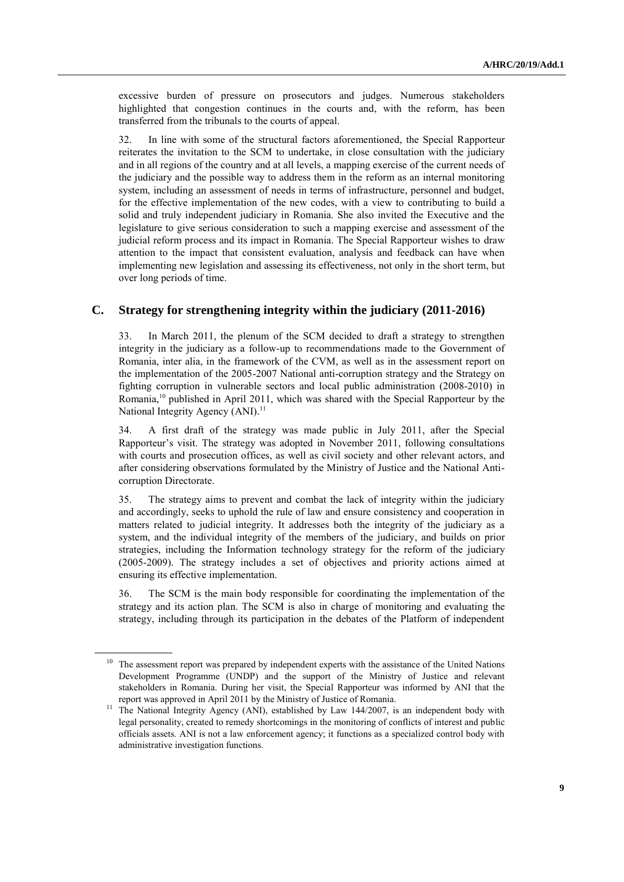excessive burden of pressure on prosecutors and judges. Numerous stakeholders highlighted that congestion continues in the courts and, with the reform, has been transferred from the tribunals to the courts of appeal.

32. In line with some of the structural factors aforementioned, the Special Rapporteur reiterates the invitation to the SCM to undertake, in close consultation with the judiciary and in all regions of the country and at all levels, a mapping exercise of the current needs of the judiciary and the possible way to address them in the reform as an internal monitoring system, including an assessment of needs in terms of infrastructure, personnel and budget, for the effective implementation of the new codes, with a view to contributing to build a solid and truly independent judiciary in Romania. She also invited the Executive and the legislature to give serious consideration to such a mapping exercise and assessment of the judicial reform process and its impact in Romania. The Special Rapporteur wishes to draw attention to the impact that consistent evaluation, analysis and feedback can have when implementing new legislation and assessing its effectiveness, not only in the short term, but over long periods of time.

### **C. Strategy for strengthening integrity within the judiciary (2011-2016)**

33. In March 2011, the plenum of the SCM decided to draft a strategy to strengthen integrity in the judiciary as a follow-up to recommendations made to the Government of Romania, inter alia, in the framework of the CVM, as well as in the assessment report on the implementation of the 2005-2007 National anti-corruption strategy and the Strategy on fighting corruption in vulnerable sectors and local public administration (2008-2010) in Romania,<sup>10</sup> published in April 2011, which was shared with the Special Rapporteur by the National Integrity Agency (ANI).<sup>11</sup>

34. A first draft of the strategy was made public in July 2011, after the Special Rapporteur's visit. The strategy was adopted in November 2011, following consultations with courts and prosecution offices, as well as civil society and other relevant actors, and after considering observations formulated by the Ministry of Justice and the National Anticorruption Directorate.

35. The strategy aims to prevent and combat the lack of integrity within the judiciary and accordingly, seeks to uphold the rule of law and ensure consistency and cooperation in matters related to judicial integrity. It addresses both the integrity of the judiciary as a system, and the individual integrity of the members of the judiciary, and builds on prior strategies, including the Information technology strategy for the reform of the judiciary (2005-2009). The strategy includes a set of objectives and priority actions aimed at ensuring its effective implementation.

36. The SCM is the main body responsible for coordinating the implementation of the strategy and its action plan. The SCM is also in charge of monitoring and evaluating the strategy, including through its participation in the debates of the Platform of independent

<sup>&</sup>lt;sup>10</sup> The assessment report was prepared by independent experts with the assistance of the United Nations Development Programme (UNDP) and the support of the Ministry of Justice and relevant stakeholders in Romania. During her visit, the Special Rapporteur was informed by ANI that the report was approved in April 2011 by the Ministry of Justice of Romania.

<sup>&</sup>lt;sup>11</sup> The National Integrity Agency (ANI), established by Law 144/2007, is an independent body with legal personality, created to remedy shortcomings in the monitoring of conflicts of interest and public officials assets. ANI is not a law enforcement agency; it functions as a specialized control body with administrative investigation functions.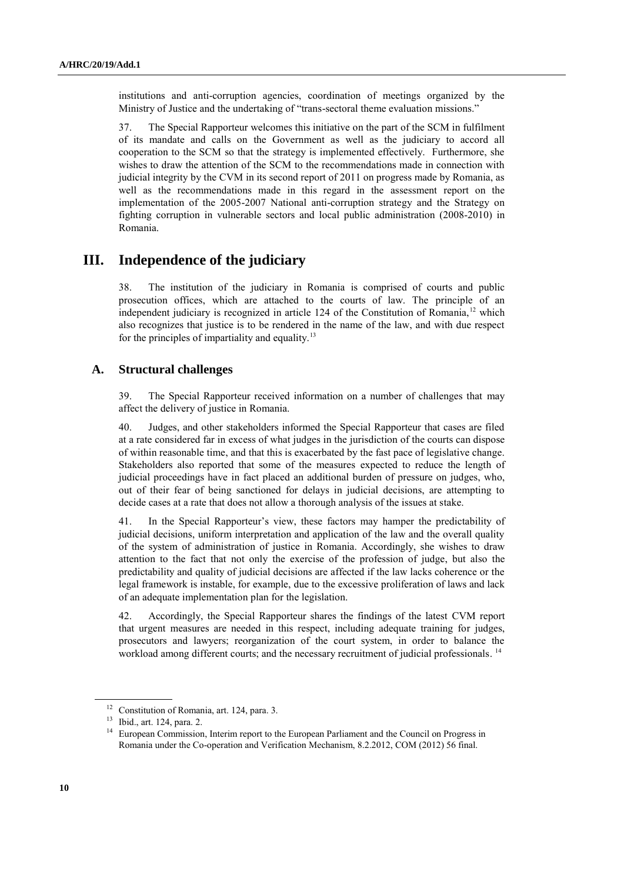institutions and anti-corruption agencies, coordination of meetings organized by the Ministry of Justice and the undertaking of "trans-sectoral theme evaluation missions."

37. The Special Rapporteur welcomes this initiative on the part of the SCM in fulfilment of its mandate and calls on the Government as well as the judiciary to accord all cooperation to the SCM so that the strategy is implemented effectively. Furthermore, she wishes to draw the attention of the SCM to the recommendations made in connection with judicial integrity by the CVM in its second report of 2011 on progress made by Romania, as well as the recommendations made in this regard in the assessment report on the implementation of the 2005-2007 National anti-corruption strategy and the Strategy on fighting corruption in vulnerable sectors and local public administration (2008-2010) in Romania.

## **III. Independence of the judiciary**

38. The institution of the judiciary in Romania is comprised of courts and public prosecution offices, which are attached to the courts of law. The principle of an independent judiciary is recognized in article 124 of the Constitution of Romania,<sup>12</sup> which also recognizes that justice is to be rendered in the name of the law, and with due respect for the principles of impartiality and equality.<sup>13</sup>

#### **A. Structural challenges**

39. The Special Rapporteur received information on a number of challenges that may affect the delivery of justice in Romania.

40. Judges, and other stakeholders informed the Special Rapporteur that cases are filed at a rate considered far in excess of what judges in the jurisdiction of the courts can dispose of within reasonable time, and that this is exacerbated by the fast pace of legislative change. Stakeholders also reported that some of the measures expected to reduce the length of judicial proceedings have in fact placed an additional burden of pressure on judges, who, out of their fear of being sanctioned for delays in judicial decisions, are attempting to decide cases at a rate that does not allow a thorough analysis of the issues at stake.

41. In the Special Rapporteur's view, these factors may hamper the predictability of judicial decisions, uniform interpretation and application of the law and the overall quality of the system of administration of justice in Romania. Accordingly, she wishes to draw attention to the fact that not only the exercise of the profession of judge, but also the predictability and quality of judicial decisions are affected if the law lacks coherence or the legal framework is instable, for example, due to the excessive proliferation of laws and lack of an adequate implementation plan for the legislation.

42. Accordingly, the Special Rapporteur shares the findings of the latest CVM report that urgent measures are needed in this respect, including adequate training for judges, prosecutors and lawyers; reorganization of the court system, in order to balance the workload among different courts; and the necessary recruitment of judicial professionals.<sup>14</sup>

<sup>&</sup>lt;sup>12</sup> Constitution of Romania, art. 124, para. 3.

<sup>13</sup> Ibid., art. 124, para. 2.

<sup>&</sup>lt;sup>14</sup> European Commission, Interim report to the European Parliament and the Council on Progress in Romania under the Co-operation and Verification Mechanism, 8.2.2012, COM (2012) 56 final.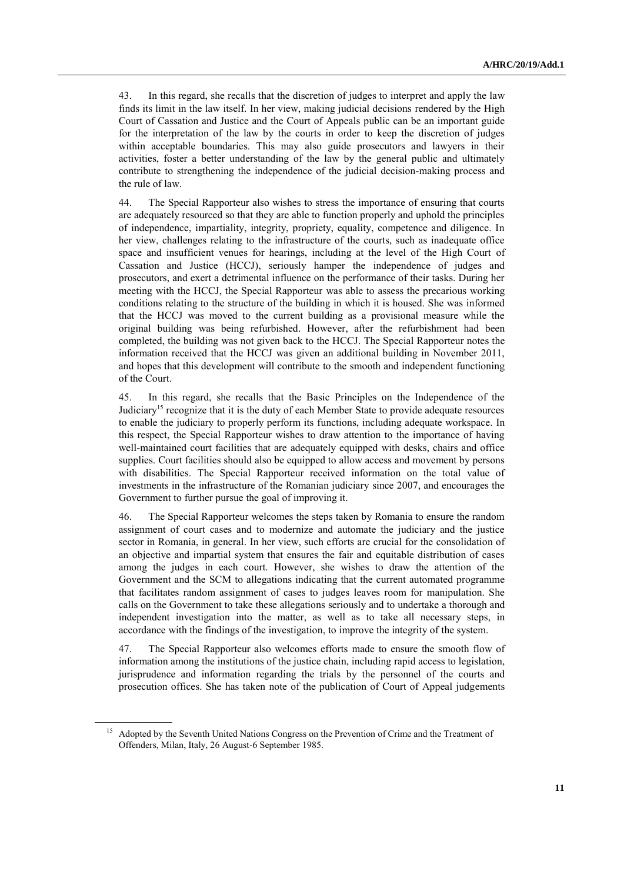43. In this regard, she recalls that the discretion of judges to interpret and apply the law finds its limit in the law itself. In her view, making judicial decisions rendered by the High Court of Cassation and Justice and the Court of Appeals public can be an important guide for the interpretation of the law by the courts in order to keep the discretion of judges within acceptable boundaries. This may also guide prosecutors and lawyers in their activities, foster a better understanding of the law by the general public and ultimately contribute to strengthening the independence of the judicial decision-making process and the rule of law.

44. The Special Rapporteur also wishes to stress the importance of ensuring that courts are adequately resourced so that they are able to function properly and uphold the principles of independence, impartiality, integrity, propriety, equality, competence and diligence. In her view, challenges relating to the infrastructure of the courts, such as inadequate office space and insufficient venues for hearings, including at the level of the High Court of Cassation and Justice (HCCJ), seriously hamper the independence of judges and prosecutors, and exert a detrimental influence on the performance of their tasks. During her meeting with the HCCJ, the Special Rapporteur was able to assess the precarious working conditions relating to the structure of the building in which it is housed. She was informed that the HCCJ was moved to the current building as a provisional measure while the original building was being refurbished. However, after the refurbishment had been completed, the building was not given back to the HCCJ. The Special Rapporteur notes the information received that the HCCJ was given an additional building in November 2011, and hopes that this development will contribute to the smooth and independent functioning of the Court.

45. In this regard, she recalls that the Basic Principles on the Independence of the Judiciary<sup>15</sup> recognize that it is the duty of each Member State to provide adequate resources to enable the judiciary to properly perform its functions, including adequate workspace. In this respect, the Special Rapporteur wishes to draw attention to the importance of having well-maintained court facilities that are adequately equipped with desks, chairs and office supplies. Court facilities should also be equipped to allow access and movement by persons with disabilities. The Special Rapporteur received information on the total value of investments in the infrastructure of the Romanian judiciary since 2007, and encourages the Government to further pursue the goal of improving it.

46. The Special Rapporteur welcomes the steps taken by Romania to ensure the random assignment of court cases and to modernize and automate the judiciary and the justice sector in Romania, in general. In her view, such efforts are crucial for the consolidation of an objective and impartial system that ensures the fair and equitable distribution of cases among the judges in each court. However, she wishes to draw the attention of the Government and the SCM to allegations indicating that the current automated programme that facilitates random assignment of cases to judges leaves room for manipulation. She calls on the Government to take these allegations seriously and to undertake a thorough and independent investigation into the matter, as well as to take all necessary steps, in accordance with the findings of the investigation, to improve the integrity of the system.

47. The Special Rapporteur also welcomes efforts made to ensure the smooth flow of information among the institutions of the justice chain, including rapid access to legislation, jurisprudence and information regarding the trials by the personnel of the courts and prosecution offices. She has taken note of the publication of Court of Appeal judgements

<sup>&</sup>lt;sup>15</sup> Adopted by the Seventh United Nations Congress on the Prevention of Crime and the Treatment of Offenders, Milan, Italy, 26 August-6 September 1985.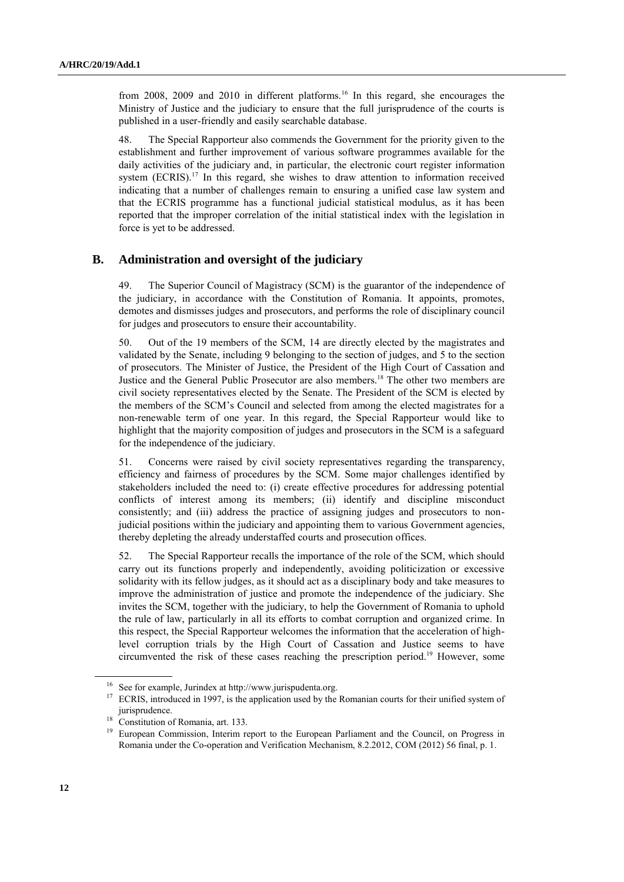from 2008, 2009 and 2010 in different platforms.<sup>16</sup> In this regard, she encourages the Ministry of Justice and the judiciary to ensure that the full jurisprudence of the courts is published in a user-friendly and easily searchable database.

48. The Special Rapporteur also commends the Government for the priority given to the establishment and further improvement of various software programmes available for the daily activities of the judiciary and, in particular, the electronic court register information system (ECRIS).<sup>17</sup> In this regard, she wishes to draw attention to information received indicating that a number of challenges remain to ensuring a unified case law system and that the ECRIS programme has a functional judicial statistical modulus, as it has been reported that the improper correlation of the initial statistical index with the legislation in force is yet to be addressed.

### **B. Administration and oversight of the judiciary**

49. The Superior Council of Magistracy (SCM) is the guarantor of the independence of the judiciary, in accordance with the Constitution of Romania. It appoints, promotes, demotes and dismisses judges and prosecutors, and performs the role of disciplinary council for judges and prosecutors to ensure their accountability.

50. Out of the 19 members of the SCM, 14 are directly elected by the magistrates and validated by the Senate, including 9 belonging to the section of judges, and 5 to the section of prosecutors. The Minister of Justice, the President of the High Court of Cassation and Justice and the General Public Prosecutor are also members.<sup>18</sup> The other two members are civil society representatives elected by the Senate. The President of the SCM is elected by the members of the SCM's Council and selected from among the elected magistrates for a non-renewable term of one year. In this regard, the Special Rapporteur would like to highlight that the majority composition of judges and prosecutors in the SCM is a safeguard for the independence of the judiciary.

51. Concerns were raised by civil society representatives regarding the transparency, efficiency and fairness of procedures by the SCM. Some major challenges identified by stakeholders included the need to: (i) create effective procedures for addressing potential conflicts of interest among its members; (ii) identify and discipline misconduct consistently; and (iii) address the practice of assigning judges and prosecutors to nonjudicial positions within the judiciary and appointing them to various Government agencies, thereby depleting the already understaffed courts and prosecution offices.

52. The Special Rapporteur recalls the importance of the role of the SCM, which should carry out its functions properly and independently, avoiding politicization or excessive solidarity with its fellow judges, as it should act as a disciplinary body and take measures to improve the administration of justice and promote the independence of the judiciary. She invites the SCM, together with the judiciary, to help the Government of Romania to uphold the rule of law, particularly in all its efforts to combat corruption and organized crime. In this respect, the Special Rapporteur welcomes the information that the acceleration of highlevel corruption trials by the High Court of Cassation and Justice seems to have circumvented the risk of these cases reaching the prescription period. <sup>19</sup> However, some

See for example, Jurindex at http://www.jurispudenta.org.

<sup>&</sup>lt;sup>17</sup> ECRIS, introduced in 1997, is the application used by the Romanian courts for their unified system of jurisprudence.

<sup>&</sup>lt;sup>18</sup> Constitution of Romania, art. 133.

European Commission, Interim report to the European Parliament and the Council, on Progress in Romania under the Co-operation and Verification Mechanism, 8.2.2012, COM (2012) 56 final, p. 1.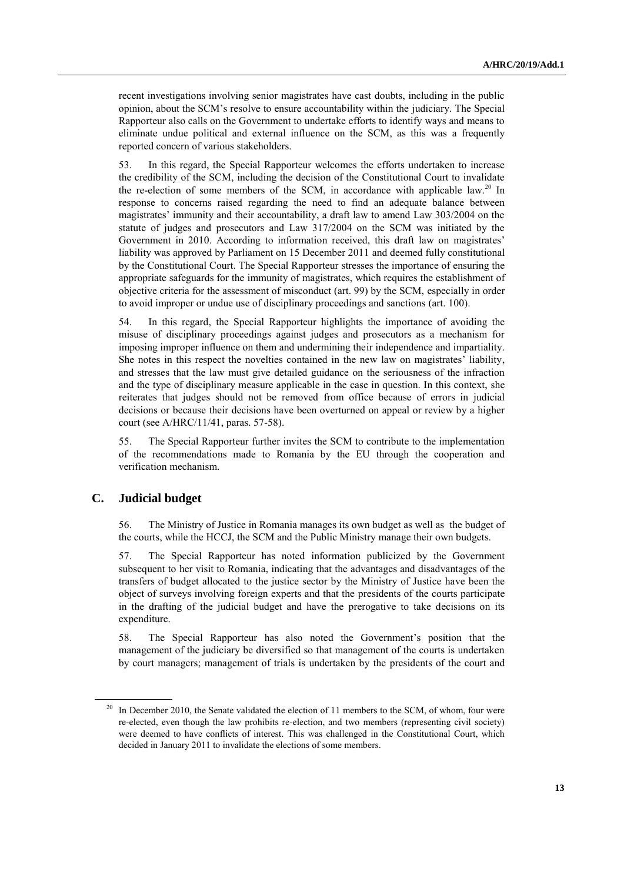recent investigations involving senior magistrates have cast doubts, including in the public opinion, about the SCM's resolve to ensure accountability within the judiciary. The Special Rapporteur also calls on the Government to undertake efforts to identify ways and means to eliminate undue political and external influence on the SCM, as this was a frequently reported concern of various stakeholders.

53. In this regard, the Special Rapporteur welcomes the efforts undertaken to increase the credibility of the SCM, including the decision of the Constitutional Court to invalidate the re-election of some members of the SCM, in accordance with applicable law.<sup>20</sup> In response to concerns raised regarding the need to find an adequate balance between magistrates' immunity and their accountability, a draft law to amend Law 303/2004 on the statute of judges and prosecutors and Law 317/2004 on the SCM was initiated by the Government in 2010. According to information received, this draft law on magistrates' liability was approved by Parliament on 15 December 2011 and deemed fully constitutional by the Constitutional Court. The Special Rapporteur stresses the importance of ensuring the appropriate safeguards for the immunity of magistrates, which requires the establishment of objective criteria for the assessment of misconduct (art. 99) by the SCM, especially in order to avoid improper or undue use of disciplinary proceedings and sanctions (art. 100).

54. In this regard, the Special Rapporteur highlights the importance of avoiding the misuse of disciplinary proceedings against judges and prosecutors as a mechanism for imposing improper influence on them and undermining their independence and impartiality. She notes in this respect the novelties contained in the new law on magistrates' liability, and stresses that the law must give detailed guidance on the seriousness of the infraction and the type of disciplinary measure applicable in the case in question. In this context, she reiterates that judges should not be removed from office because of errors in judicial decisions or because their decisions have been overturned on appeal or review by a higher court (see A/HRC/11/41, paras. 57-58).

55. The Special Rapporteur further invites the SCM to contribute to the implementation of the recommendations made to Romania by the EU through the cooperation and verification mechanism.

### **C. Judicial budget**

56. The Ministry of Justice in Romania manages its own budget as well as the budget of the courts, while the HCCJ, the SCM and the Public Ministry manage their own budgets.

57. The Special Rapporteur has noted information publicized by the Government subsequent to her visit to Romania, indicating that the advantages and disadvantages of the transfers of budget allocated to the justice sector by the Ministry of Justice have been the object of surveys involving foreign experts and that the presidents of the courts participate in the drafting of the judicial budget and have the prerogative to take decisions on its expenditure.

58. The Special Rapporteur has also noted the Government's position that the management of the judiciary be diversified so that management of the courts is undertaken by court managers; management of trials is undertaken by the presidents of the court and

<sup>&</sup>lt;sup>20</sup> In December 2010, the Senate validated the election of 11 members to the SCM, of whom, four were re-elected, even though the law prohibits re-election, and two members (representing civil society) were deemed to have conflicts of interest. This was challenged in the Constitutional Court, which decided in January 2011 to invalidate the elections of some members.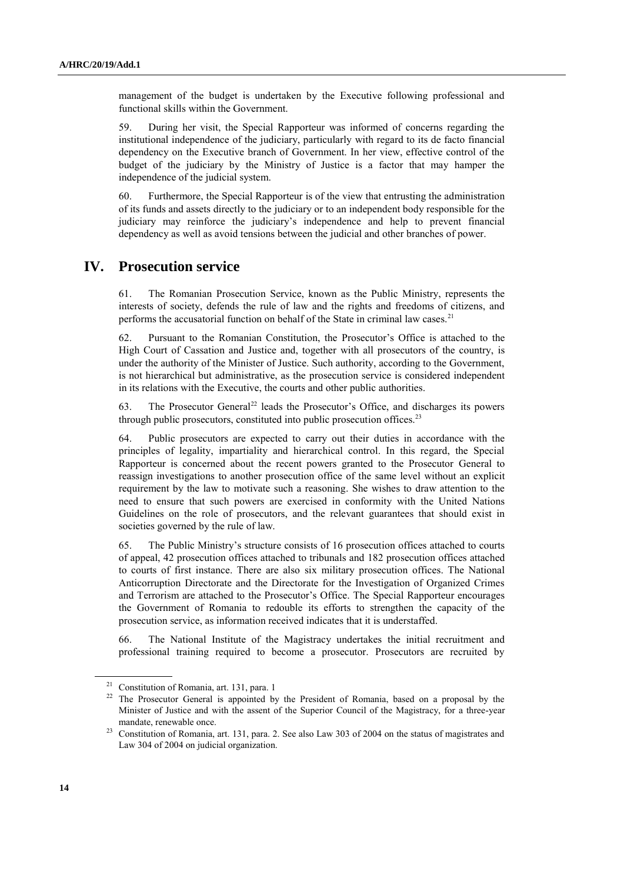management of the budget is undertaken by the Executive following professional and functional skills within the Government.

59. During her visit, the Special Rapporteur was informed of concerns regarding the institutional independence of the judiciary, particularly with regard to its de facto financial dependency on the Executive branch of Government. In her view, effective control of the budget of the judiciary by the Ministry of Justice is a factor that may hamper the independence of the judicial system.

60. Furthermore, the Special Rapporteur is of the view that entrusting the administration of its funds and assets directly to the judiciary or to an independent body responsible for the judiciary may reinforce the judiciary's independence and help to prevent financial dependency as well as avoid tensions between the judicial and other branches of power.

### **IV. Prosecution service**

61. The Romanian Prosecution Service, known as the Public Ministry, represents the interests of society, defends the rule of law and the rights and freedoms of citizens, and performs the accusatorial function on behalf of the State in criminal law cases.<sup>21</sup>

62. Pursuant to the Romanian Constitution, the Prosecutor's Office is attached to the High Court of Cassation and Justice and, together with all prosecutors of the country, is under the authority of the Minister of Justice. Such authority, according to the Government, is not hierarchical but administrative, as the prosecution service is considered independent in its relations with the Executive, the courts and other public authorities.

63. The Prosecutor General<sup>22</sup> leads the Prosecutor's Office, and discharges its powers through public prosecutors, constituted into public prosecution offices.<sup>23</sup>

64. Public prosecutors are expected to carry out their duties in accordance with the principles of legality, impartiality and hierarchical control. In this regard, the Special Rapporteur is concerned about the recent powers granted to the Prosecutor General to reassign investigations to another prosecution office of the same level without an explicit requirement by the law to motivate such a reasoning. She wishes to draw attention to the need to ensure that such powers are exercised in conformity with the United Nations Guidelines on the role of prosecutors, and the relevant guarantees that should exist in societies governed by the rule of law.

65. The Public Ministry's structure consists of 16 prosecution offices attached to courts of appeal, 42 prosecution offices attached to tribunals and 182 prosecution offices attached to courts of first instance. There are also six military prosecution offices. The National Anticorruption Directorate and the Directorate for the Investigation of Organized Crimes and Terrorism are attached to the Prosecutor's Office. The Special Rapporteur encourages the Government of Romania to redouble its efforts to strengthen the capacity of the prosecution service, as information received indicates that it is understaffed.

66. The National Institute of the Magistracy undertakes the initial recruitment and professional training required to become a prosecutor. Prosecutors are recruited by

<sup>21</sup> Constitution of Romania, art. 131, para. 1

<sup>&</sup>lt;sup>22</sup> The Prosecutor General is appointed by the President of Romania, based on a proposal by the Minister of Justice and with the assent of the Superior Council of the Magistracy, for a three-year mandate, renewable once.

<sup>&</sup>lt;sup>23</sup> Constitution of Romania, art. 131, para. 2. See also Law 303 of 2004 on the status of magistrates and Law 304 of 2004 on judicial organization.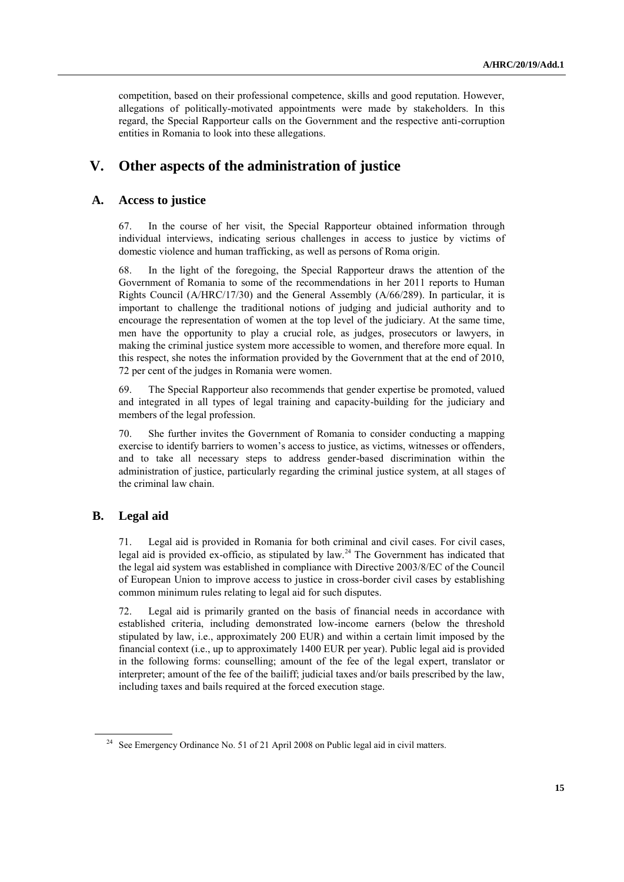competition, based on their professional competence, skills and good reputation. However, allegations of politically-motivated appointments were made by stakeholders. In this regard, the Special Rapporteur calls on the Government and the respective anti-corruption entities in Romania to look into these allegations.

## **V. Other aspects of the administration of justice**

#### **A. Access to justice**

67. In the course of her visit, the Special Rapporteur obtained information through individual interviews, indicating serious challenges in access to justice by victims of domestic violence and human trafficking, as well as persons of Roma origin.

68. In the light of the foregoing, the Special Rapporteur draws the attention of the Government of Romania to some of the recommendations in her 2011 reports to Human Rights Council (A/HRC/17/30) and the General Assembly (A/66/289). In particular, it is important to challenge the traditional notions of judging and judicial authority and to encourage the representation of women at the top level of the judiciary. At the same time, men have the opportunity to play a crucial role, as judges, prosecutors or lawyers, in making the criminal justice system more accessible to women, and therefore more equal. In this respect, she notes the information provided by the Government that at the end of 2010, 72 per cent of the judges in Romania were women.

69. The Special Rapporteur also recommends that gender expertise be promoted, valued and integrated in all types of legal training and capacity-building for the judiciary and members of the legal profession.

70. She further invites the Government of Romania to consider conducting a mapping exercise to identify barriers to women's access to justice, as victims, witnesses or offenders, and to take all necessary steps to address gender-based discrimination within the administration of justice, particularly regarding the criminal justice system, at all stages of the criminal law chain.

### **B. Legal aid**

71. Legal aid is provided in Romania for both criminal and civil cases. For civil cases, legal aid is provided ex-officio, as stipulated by law.<sup>24</sup> The Government has indicated that the legal aid system was established in compliance with Directive 2003/8/EC of the Council of European Union to improve access to justice in cross-border civil cases by establishing common minimum rules relating to legal aid for such disputes.

72. Legal aid is primarily granted on the basis of financial needs in accordance with established criteria, including demonstrated low-income earners (below the threshold stipulated by law, i.e., approximately 200 EUR) and within a certain limit imposed by the financial context (i.e., up to approximately 1400 EUR per year). Public legal aid is provided in the following forms: counselling; amount of the fee of the legal expert, translator or interpreter; amount of the fee of the bailiff; judicial taxes and/or bails prescribed by the law, including taxes and bails required at the forced execution stage.

<sup>&</sup>lt;sup>24</sup> See Emergency Ordinance No. 51 of 21 April 2008 on Public legal aid in civil matters.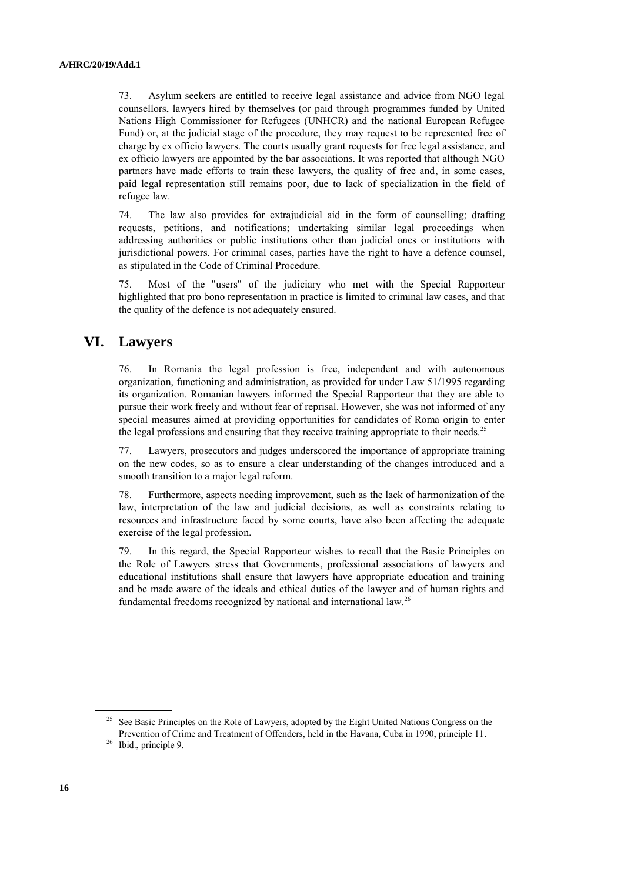73. Asylum seekers are entitled to receive legal assistance and advice from NGO legal counsellors, lawyers hired by themselves (or paid through programmes funded by United Nations High Commissioner for Refugees (UNHCR) and the national European Refugee Fund) or, at the judicial stage of the procedure, they may request to be represented free of charge by ex officio lawyers. The courts usually grant requests for free legal assistance, and ex officio lawyers are appointed by the bar associations. It was reported that although NGO partners have made efforts to train these lawyers, the quality of free and, in some cases, paid legal representation still remains poor, due to lack of specialization in the field of refugee law.

74. The law also provides for extrajudicial aid in the form of counselling; drafting requests, petitions, and notifications; undertaking similar legal proceedings when addressing authorities or public institutions other than judicial ones or institutions with jurisdictional powers. For criminal cases, parties have the right to have a defence counsel, as stipulated in the Code of Criminal Procedure.

75. Most of the "users" of the judiciary who met with the Special Rapporteur highlighted that pro bono representation in practice is limited to criminal law cases, and that the quality of the defence is not adequately ensured.

# **VI. Lawyers**

76. In Romania the legal profession is free, independent and with autonomous organization, functioning and administration, as provided for under Law 51/1995 regarding its organization. Romanian lawyers informed the Special Rapporteur that they are able to pursue their work freely and without fear of reprisal. However, she was not informed of any special measures aimed at providing opportunities for candidates of Roma origin to enter the legal professions and ensuring that they receive training appropriate to their needs.<sup>25</sup>

77. Lawyers, prosecutors and judges underscored the importance of appropriate training on the new codes, so as to ensure a clear understanding of the changes introduced and a smooth transition to a major legal reform.

78. Furthermore, aspects needing improvement, such as the lack of harmonization of the law, interpretation of the law and judicial decisions, as well as constraints relating to resources and infrastructure faced by some courts, have also been affecting the adequate exercise of the legal profession.

79. In this regard, the Special Rapporteur wishes to recall that the Basic Principles on the Role of Lawyers stress that Governments, professional associations of lawyers and educational institutions shall ensure that lawyers have appropriate education and training and be made aware of the ideals and ethical duties of the lawyer and of human rights and fundamental freedoms recognized by national and international law. 26

<sup>&</sup>lt;sup>25</sup> See Basic Principles on the Role of Lawyers, adopted by the Eight United Nations Congress on the Prevention of Crime and Treatment of Offenders, held in the Havana, Cuba in 1990, principle 11.

<sup>26</sup> Ibid., principle 9.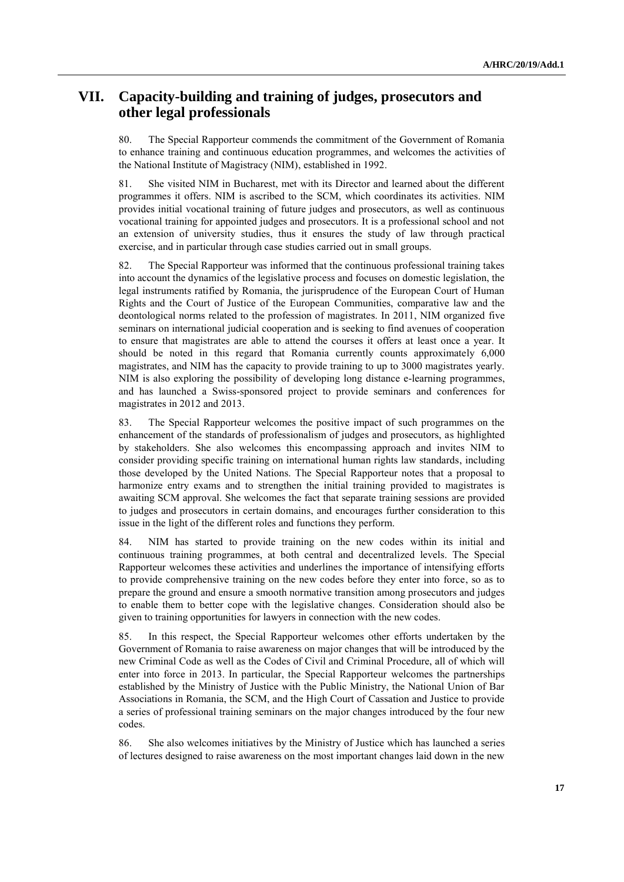# **VII. Capacity-building and training of judges, prosecutors and other legal professionals**

80. The Special Rapporteur commends the commitment of the Government of Romania to enhance training and continuous education programmes, and welcomes the activities of the National Institute of Magistracy (NIM), established in 1992.

81. She visited NIM in Bucharest, met with its Director and learned about the different programmes it offers. NIM is ascribed to the SCM, which coordinates its activities. NIM provides initial vocational training of future judges and prosecutors, as well as continuous vocational training for appointed judges and prosecutors. It is a professional school and not an extension of university studies, thus it ensures the study of law through practical exercise, and in particular through case studies carried out in small groups.

82. The Special Rapporteur was informed that the continuous professional training takes into account the dynamics of the legislative process and focuses on domestic legislation, the legal instruments ratified by Romania, the jurisprudence of the European Court of Human Rights and the Court of Justice of the European Communities, comparative law and the deontological norms related to the profession of magistrates. In 2011, NIM organized five seminars on international judicial cooperation and is seeking to find avenues of cooperation to ensure that magistrates are able to attend the courses it offers at least once a year. It should be noted in this regard that Romania currently counts approximately 6,000 magistrates, and NIM has the capacity to provide training to up to 3000 magistrates yearly. NIM is also exploring the possibility of developing long distance e-learning programmes, and has launched a Swiss-sponsored project to provide seminars and conferences for magistrates in 2012 and 2013.

83. The Special Rapporteur welcomes the positive impact of such programmes on the enhancement of the standards of professionalism of judges and prosecutors, as highlighted by stakeholders. She also welcomes this encompassing approach and invites NIM to consider providing specific training on international human rights law standards, including those developed by the United Nations. The Special Rapporteur notes that a proposal to harmonize entry exams and to strengthen the initial training provided to magistrates is awaiting SCM approval. She welcomes the fact that separate training sessions are provided to judges and prosecutors in certain domains, and encourages further consideration to this issue in the light of the different roles and functions they perform.

84. NIM has started to provide training on the new codes within its initial and continuous training programmes, at both central and decentralized levels. The Special Rapporteur welcomes these activities and underlines the importance of intensifying efforts to provide comprehensive training on the new codes before they enter into force, so as to prepare the ground and ensure a smooth normative transition among prosecutors and judges to enable them to better cope with the legislative changes. Consideration should also be given to training opportunities for lawyers in connection with the new codes.

85. In this respect, the Special Rapporteur welcomes other efforts undertaken by the Government of Romania to raise awareness on major changes that will be introduced by the new Criminal Code as well as the Codes of Civil and Criminal Procedure, all of which will enter into force in 2013. In particular, the Special Rapporteur welcomes the partnerships established by the Ministry of Justice with the Public Ministry, the National Union of Bar Associations in Romania, the SCM, and the High Court of Cassation and Justice to provide a series of professional training seminars on the major changes introduced by the four new codes.

86. She also welcomes initiatives by the Ministry of Justice which has launched a series of lectures designed to raise awareness on the most important changes laid down in the new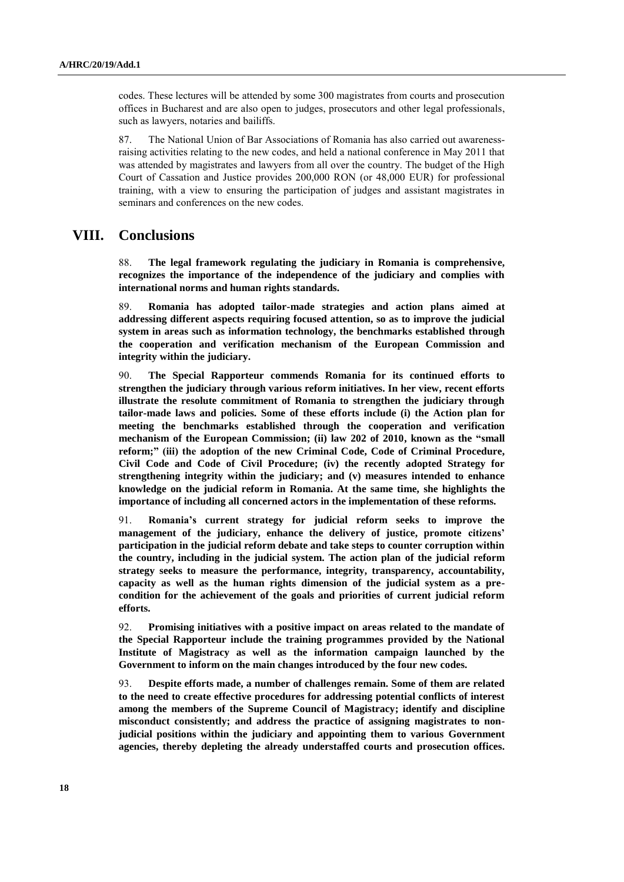codes. These lectures will be attended by some 300 magistrates from courts and prosecution offices in Bucharest and are also open to judges, prosecutors and other legal professionals, such as lawyers, notaries and bailiffs.

87. The National Union of Bar Associations of Romania has also carried out awarenessraising activities relating to the new codes, and held a national conference in May 2011 that was attended by magistrates and lawyers from all over the country. The budget of the High Court of Cassation and Justice provides 200,000 RON (or 48,000 EUR) for professional training, with a view to ensuring the participation of judges and assistant magistrates in seminars and conferences on the new codes.

### **VIII. Conclusions**

88. **The legal framework regulating the judiciary in Romania is comprehensive, recognizes the importance of the independence of the judiciary and complies with international norms and human rights standards.** 

89. **Romania has adopted tailor-made strategies and action plans aimed at addressing different aspects requiring focused attention, so as to improve the judicial system in areas such as information technology, the benchmarks established through the cooperation and verification mechanism of the European Commission and integrity within the judiciary.**

90. **The Special Rapporteur commends Romania for its continued efforts to strengthen the judiciary through various reform initiatives. In her view, recent efforts illustrate the resolute commitment of Romania to strengthen the judiciary through tailor-made laws and policies. Some of these efforts include (i) the Action plan for meeting the benchmarks established through the cooperation and verification mechanism of the European Commission; (ii) law 202 of 2010, known as the "small reform;" (iii) the adoption of the new Criminal Code, Code of Criminal Procedure, Civil Code and Code of Civil Procedure; (iv) the recently adopted Strategy for strengthening integrity within the judiciary; and (v) measures intended to enhance knowledge on the judicial reform in Romania. At the same time, she highlights the importance of including all concerned actors in the implementation of these reforms.**

91. **Romania's current strategy for judicial reform seeks to improve the management of the judiciary, enhance the delivery of justice, promote citizens' participation in the judicial reform debate and take steps to counter corruption within the country, including in the judicial system. The action plan of the judicial reform strategy seeks to measure the performance, integrity, transparency, accountability, capacity as well as the human rights dimension of the judicial system as a precondition for the achievement of the goals and priorities of current judicial reform efforts.** 

92. **Promising initiatives with a positive impact on areas related to the mandate of the Special Rapporteur include the training programmes provided by the National Institute of Magistracy as well as the information campaign launched by the Government to inform on the main changes introduced by the four new codes.** 

93. **Despite efforts made, a number of challenges remain. Some of them are related to the need to create effective procedures for addressing potential conflicts of interest among the members of the Supreme Council of Magistracy; identify and discipline misconduct consistently; and address the practice of assigning magistrates to nonjudicial positions within the judiciary and appointing them to various Government agencies, thereby depleting the already understaffed courts and prosecution offices.**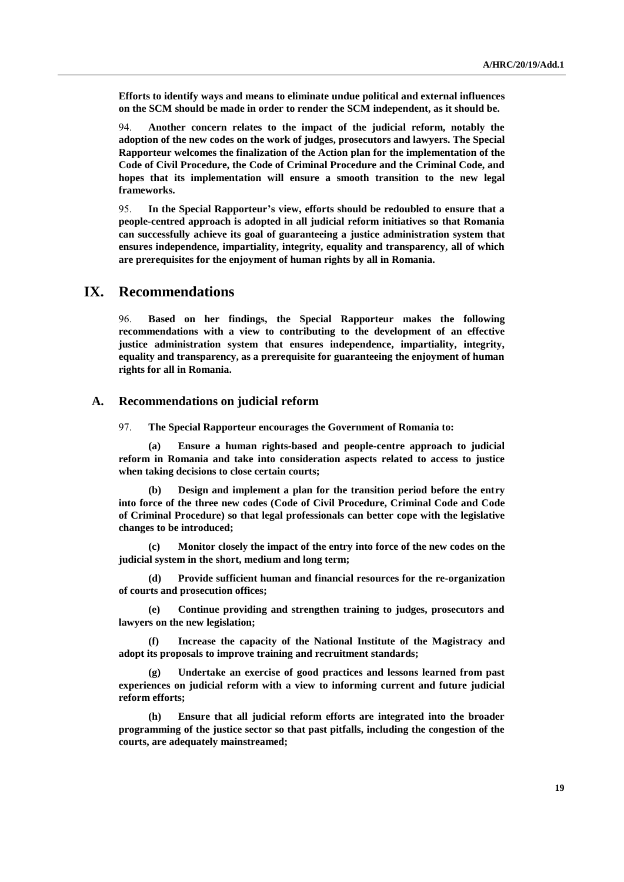**Efforts to identify ways and means to eliminate undue political and external influences on the SCM should be made in order to render the SCM independent, as it should be.**

94. **Another concern relates to the impact of the judicial reform, notably the adoption of the new codes on the work of judges, prosecutors and lawyers. The Special Rapporteur welcomes the finalization of the Action plan for the implementation of the Code of Civil Procedure, the Code of Criminal Procedure and the Criminal Code, and hopes that its implementation will ensure a smooth transition to the new legal frameworks.** 

95. **In the Special Rapporteur's view, efforts should be redoubled to ensure that a people-centred approach is adopted in all judicial reform initiatives so that Romania can successfully achieve its goal of guaranteeing a justice administration system that ensures independence, impartiality, integrity, equality and transparency, all of which are prerequisites for the enjoyment of human rights by all in Romania.**

### **IX. Recommendations**

96. **Based on her findings, the Special Rapporteur makes the following recommendations with a view to contributing to the development of an effective justice administration system that ensures independence, impartiality, integrity, equality and transparency, as a prerequisite for guaranteeing the enjoyment of human rights for all in Romania.** 

### **A. Recommendations on judicial reform**

97. **The Special Rapporteur encourages the Government of Romania to:**

**(a) Ensure a human rights-based and people-centre approach to judicial reform in Romania and take into consideration aspects related to access to justice when taking decisions to close certain courts;**

**(b) Design and implement a plan for the transition period before the entry into force of the three new codes (Code of Civil Procedure, Criminal Code and Code of Criminal Procedure) so that legal professionals can better cope with the legislative changes to be introduced;**

**(c) Monitor closely the impact of the entry into force of the new codes on the judicial system in the short, medium and long term;** 

**(d) Provide sufficient human and financial resources for the re-organization of courts and prosecution offices;**

**(e) Continue providing and strengthen training to judges, prosecutors and lawyers on the new legislation;**

**(f) Increase the capacity of the National Institute of the Magistracy and adopt its proposals to improve training and recruitment standards;**

**(g) Undertake an exercise of good practices and lessons learned from past experiences on judicial reform with a view to informing current and future judicial reform efforts;**

**(h) Ensure that all judicial reform efforts are integrated into the broader programming of the justice sector so that past pitfalls, including the congestion of the courts, are adequately mainstreamed;**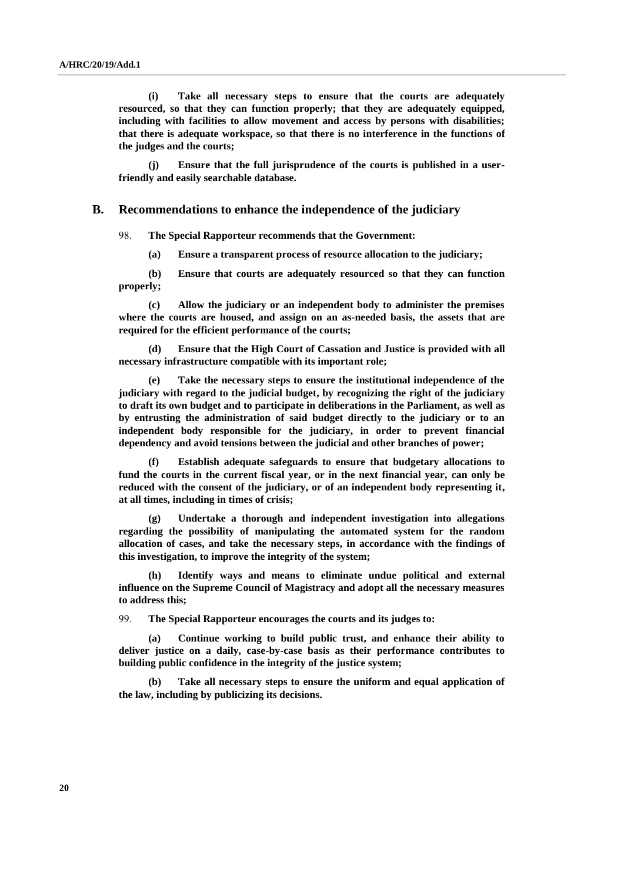**(i) Take all necessary steps to ensure that the courts are adequately resourced, so that they can function properly; that they are adequately equipped, including with facilities to allow movement and access by persons with disabilities; that there is adequate workspace, so that there is no interference in the functions of the judges and the courts;**

**(j) Ensure that the full jurisprudence of the courts is published in a userfriendly and easily searchable database.**

#### **B. Recommendations to enhance the independence of the judiciary**

98. **The Special Rapporteur recommends that the Government:**

**(a) Ensure a transparent process of resource allocation to the judiciary;**

**(b) Ensure that courts are adequately resourced so that they can function properly;**

**(c) Allow the judiciary or an independent body to administer the premises where the courts are housed, and assign on an as-needed basis, the assets that are required for the efficient performance of the courts;**

**(d) Ensure that the High Court of Cassation and Justice is provided with all necessary infrastructure compatible with its important role;**

**(e) Take the necessary steps to ensure the institutional independence of the judiciary with regard to the judicial budget, by recognizing the right of the judiciary to draft its own budget and to participate in deliberations in the Parliament, as well as by entrusting the administration of said budget directly to the judiciary or to an independent body responsible for the judiciary, in order to prevent financial dependency and avoid tensions between the judicial and other branches of power;**

**(f) Establish adequate safeguards to ensure that budgetary allocations to fund the courts in the current fiscal year, or in the next financial year, can only be reduced with the consent of the judiciary, or of an independent body representing it, at all times, including in times of crisis;**

**(g) Undertake a thorough and independent investigation into allegations regarding the possibility of manipulating the automated system for the random allocation of cases, and take the necessary steps, in accordance with the findings of this investigation, to improve the integrity of the system;**

**(h) Identify ways and means to eliminate undue political and external influence on the Supreme Council of Magistracy and adopt all the necessary measures to address this;**

99. **The Special Rapporteur encourages the courts and its judges to:** 

**(a) Continue working to build public trust, and enhance their ability to deliver justice on a daily, case-by-case basis as their performance contributes to building public confidence in the integrity of the justice system;**

**(b) Take all necessary steps to ensure the uniform and equal application of the law, including by publicizing its decisions.**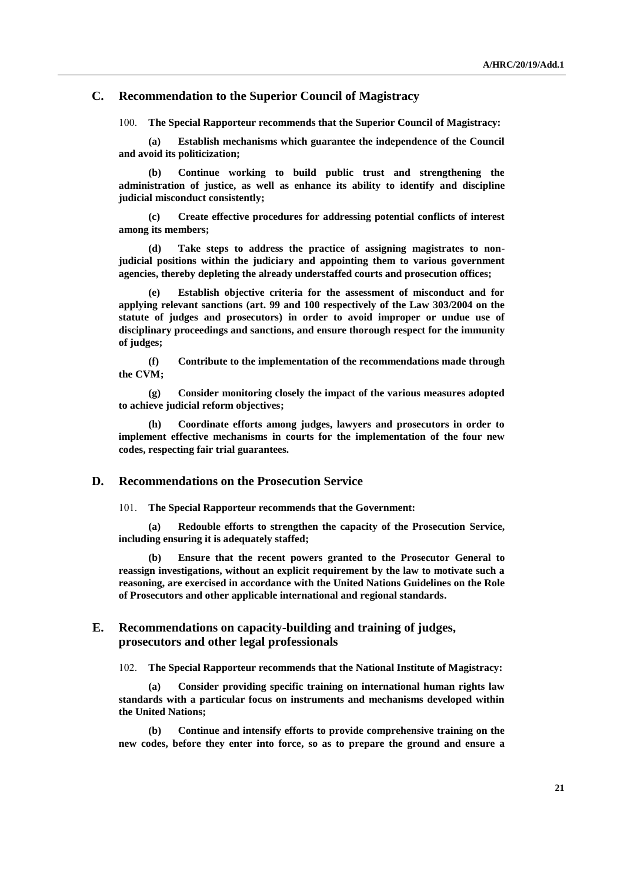### **C. Recommendation to the Superior Council of Magistracy**

100. **The Special Rapporteur recommends that the Superior Council of Magistracy:**

**(a) Establish mechanisms which guarantee the independence of the Council and avoid its politicization;**

**(b) Continue working to build public trust and strengthening the administration of justice, as well as enhance its ability to identify and discipline judicial misconduct consistently;** 

**(c) Create effective procedures for addressing potential conflicts of interest among its members;** 

**(d) Take steps to address the practice of assigning magistrates to nonjudicial positions within the judiciary and appointing them to various government agencies, thereby depleting the already understaffed courts and prosecution offices;**

**(e) Establish objective criteria for the assessment of misconduct and for applying relevant sanctions (art. 99 and 100 respectively of the Law 303/2004 on the statute of judges and prosecutors) in order to avoid improper or undue use of disciplinary proceedings and sanctions, and ensure thorough respect for the immunity of judges;**

**(f) Contribute to the implementation of the recommendations made through the CVM;**

**(g) Consider monitoring closely the impact of the various measures adopted to achieve judicial reform objectives;**

**(h) Coordinate efforts among judges, lawyers and prosecutors in order to implement effective mechanisms in courts for the implementation of the four new codes, respecting fair trial guarantees.** 

#### **D. Recommendations on the Prosecution Service**

101. **The Special Rapporteur recommends that the Government:**

**(a) Redouble efforts to strengthen the capacity of the Prosecution Service, including ensuring it is adequately staffed;**

**(b) Ensure that the recent powers granted to the Prosecutor General to reassign investigations, without an explicit requirement by the law to motivate such a reasoning, are exercised in accordance with the United Nations Guidelines on the Role of Prosecutors and other applicable international and regional standards.**

### **E. Recommendations on capacity-building and training of judges, prosecutors and other legal professionals**

102. **The Special Rapporteur recommends that the National Institute of Magistracy:**

**(a) Consider providing specific training on international human rights law standards with a particular focus on instruments and mechanisms developed within the United Nations;**

**(b) Continue and intensify efforts to provide comprehensive training on the new codes, before they enter into force, so as to prepare the ground and ensure a**